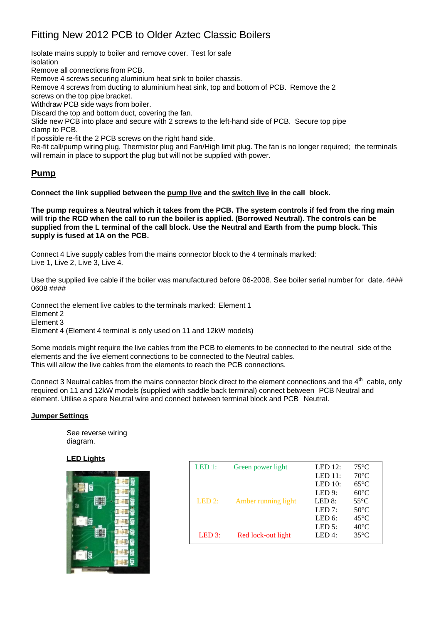## Fitting New 2012 PCB to Older Aztec Classic Boilers

Isolate mains supply to boiler and remove cover. Test for safe isolation Remove all connections from PCB. Remove 4 screws securing aluminium heat sink to boiler chassis. Remove 4 screws from ducting to aluminium heat sink, top and bottom of PCB. Remove the 2 screws on the top pipe bracket. Withdraw PCB side ways from boiler. Discard the top and bottom duct, covering the fan. Slide new PCB into place and secure with 2 screws to the left-hand side of PCB. Secure top pipe clamp to PCB. If possible re-fit the 2 PCB screws on the right hand side. Re-fit call/pump wiring plug, Thermistor plug and Fan/High limit plug. The fan is no longer required; the terminals will remain in place to support the plug but will not be supplied with power.

## **Pump**

**Connect the link supplied between the pump live and the switch live in the call block.**

**The pump requires a Neutral which it takes from the PCB. The system controls if fed from the ring main will trip the RCD when the call to run the boiler is applied. (Borrowed Neutral). The controls can be supplied from the L terminal of the call block. Use the Neutral and Earth from the pump block. This supply is fused at 1A on the PCB.**

Connect 4 Live supply cables from the mains connector block to the 4 terminals marked: Live 1, Live 2, Live 3, Live 4.

Use the supplied live cable if the boiler was manufactured before 06-2008. See boiler serial number for date.  $4\# \# \#$ 0608 ####

Connect the element live cables to the terminals marked: Element 1 Element 2 Element 3 Element 4 (Element 4 terminal is only used on 11 and 12kW models)

Some models might require the live cables from the PCB to elements to be connected to the neutral side of the elements and the live element connections to be connected to the Neutral cables. This will allow the live cables from the elements to reach the PCB connections.

Connect 3 Neutral cables from the mains connector block direct to the element connections and the  $4<sup>th</sup>$  cable, only required on 11 and 12kW models (supplied with saddle back terminal) connect between PCB Neutral and element. Utilise a spare Neutral wire and connect between terminal block and PCB Neutral.

## **Jumper Settings**

See reverse wiring diagram.

## **LED Lights**



| LED 1: | Green power light   | LED $12$ : | $75^{\circ}$ C |
|--------|---------------------|------------|----------------|
|        |                     | LED 11:    | $70^{\circ}$ C |
|        |                     | LED $10$ : | $65^{\circ}$ C |
|        |                     | LED 9:     | $60^{\circ}$ C |
| LED 2: | Amber running light | LED $8$ :  | $55^{\circ}$ C |
|        |                     | LED $7:$   | $50^{\circ}$ C |
|        |                     | LED $6$ :  | $45^{\circ}$ C |
|        |                     | LED $5$ :  | $40^{\circ}$ C |
| LED 3: | Red lock-out light  | LED 4:     | $35^{\circ}$ C |